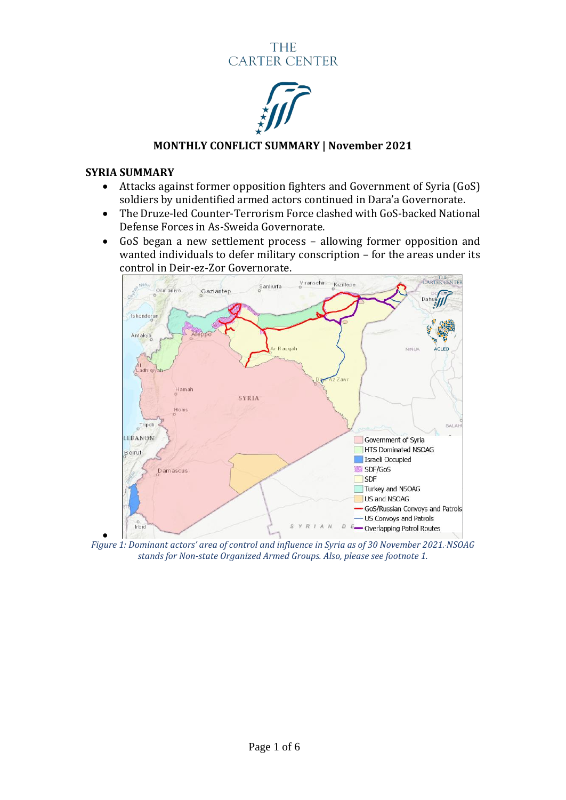# **THE CARTER CENTER**



# **MONTHLY CONFLICT SUMMARY | November 2021**

### **SYRIA SUMMARY**

- Attacks against former opposition fighters and Government of Syria (GoS) soldiers by unidentified armed actors continued in Dara'a Governorate.
- The Druze-led Counter-Terrorism Force clashed with GoS-backed National Defense Forces in As-Sweida Governorate.
- GoS began a new settlement process allowing former opposition and wanted individuals to defer military conscription – for the areas under its control in Deir-ez-Zor Governorate.



• *Figure 1: Dominant actors' area of control and influence in Syria as of 30 November 2021. NSOAG stands for Non-state Organized Armed Groups. Also, please see footnote 1.*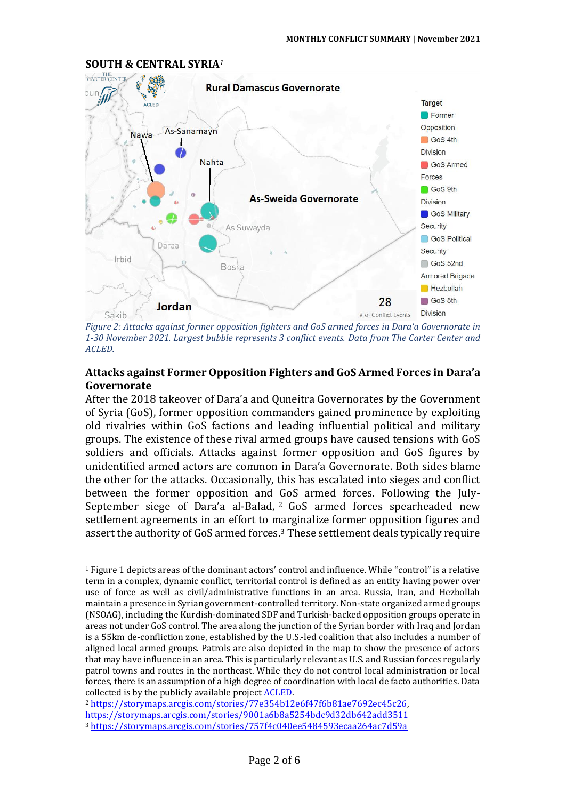

**SOUTH & CENTRAL SYRIA***<sup>1</sup>*

*Figure 2: Attacks against former opposition fighters and GoS armed forces in Dara'a Governorate in 1-30 November 2021. Largest bubble represents 3 conflict events. Data from The Carter Center and ACLED.*

# **Attacks against Former Opposition Fighters and GoS Armed Forces in Dara'a Governorate**

After the 2018 takeover of Dara'a and Quneitra Governorates by the Government of Syria (GoS), former opposition commanders gained prominence by exploiting old rivalries within GoS factions and leading influential political and military groups. The existence of these rival armed groups have caused tensions with GoS soldiers and officials. Attacks against former opposition and GoS figures by unidentified armed actors are common in Dara'a Governorate. Both sides blame the other for the attacks. Occasionally, this has escalated into sieges and conflict between the former opposition and GoS armed forces. Following the July-September siege of Dara'a al-Balad, <sup>2</sup> GoS armed forces spearheaded new settlement agreements in an effort to marginalize former opposition figures and assert the authority of GoS armed forces.<sup>3</sup> These settlement deals typically require

<sup>2</sup> [https://storymaps.arcgis.com/stories/77e354b12e6f47f6b81ae7692ec45c26,](https://storymaps.arcgis.com/stories/77e354b12e6f47f6b81ae7692ec45c26)  <https://storymaps.arcgis.com/stories/9001a6b8a5254bdc9d32db642add3511> <sup>3</sup> <https://storymaps.arcgis.com/stories/757f4c040ee5484593ecaa264ac7d59a>

<sup>1</sup> Figure 1 depicts areas of the dominant actors' control and influence. While "control" is a relative term in a complex, dynamic conflict, territorial control is defined as an entity having power over use of force as well as civil/administrative functions in an area. Russia, Iran, and Hezbollah maintain a presence in Syrian government-controlled territory. Non-state organized armed groups (NSOAG), including the Kurdish-dominated SDF and Turkish-backed opposition groups operate in areas not under GoS control. The area along the junction of the Syrian border with Iraq and Jordan is a 55km de-confliction zone, established by the U.S.-led coalition that also includes a number of aligned local armed groups. Patrols are also depicted in the map to show the presence of actors that may have influence in an area. This is particularly relevant as U.S. and Russian forces regularly patrol towns and routes in the northeast. While they do not control local administration or local forces, there is an assumption of a high degree of coordination with local de facto authorities. Data collected is by the publicly available projec[t ACLED.](https://acleddata.com/#/dashboard)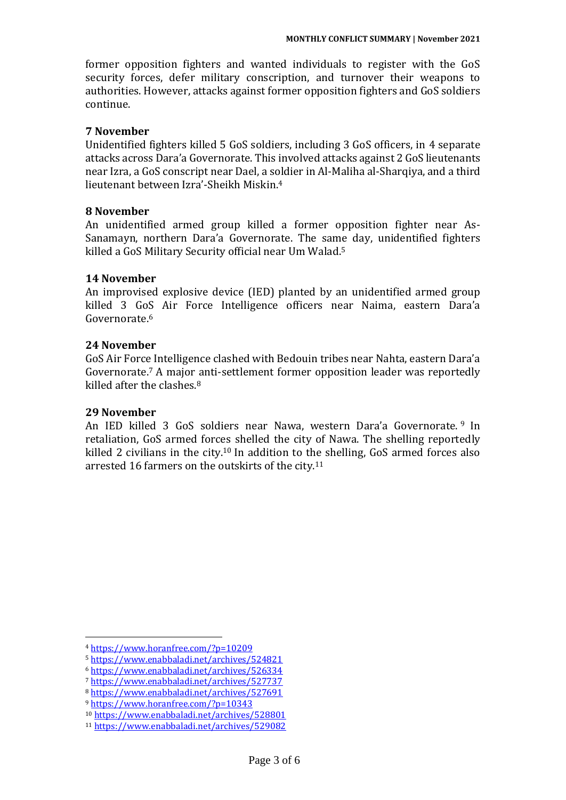former opposition fighters and wanted individuals to register with the GoS security forces, defer military conscription, and turnover their weapons to authorities. However, attacks against former opposition fighters and GoS soldiers continue.

### **7 November**

Unidentified fighters killed 5 GoS soldiers, including 3 GoS officers, in 4 separate attacks across Dara'a Governorate. This involved attacks against 2 GoSlieutenants near Izra, a GoS conscript near Dael, a soldier in Al-Maliha al-Sharqiya, and a third lieutenant between Izra'-Sheikh Miskin.<sup>4</sup>

# **8 November**

An unidentified armed group killed a former opposition fighter near As-Sanamayn, northern Dara'a Governorate. The same day, unidentified fighters killed a GoS Military Security official near Um Walad.<sup>5</sup>

# **14 November**

An improvised explosive device (IED) planted by an unidentified armed group killed 3 GoS Air Force Intelligence officers near Naima, eastern Dara'a Governorate.<sup>6</sup>

# **24 November**

GoS Air Force Intelligence clashed with Bedouin tribes near Nahta, eastern Dara'a Governorate.<sup>7</sup> A major anti-settlement former opposition leader was reportedly killed after the clashes.<sup>8</sup>

### **29 November**

An IED killed 3 GoS soldiers near Nawa, western Dara'a Governorate. <sup>9</sup> In retaliation, GoS armed forces shelled the city of Nawa. The shelling reportedly killed 2 civilians in the city.<sup>10</sup> In addition to the shelling, GoS armed forces also arrested 16 farmers on the outskirts of the city.<sup>11</sup>

<sup>4</sup> <https://www.horanfree.com/?p=10209>

<sup>5</sup> <https://www.enabbaladi.net/archives/524821>

<sup>6</sup> <https://www.enabbaladi.net/archives/526334>

<sup>7</sup> <https://www.enabbaladi.net/archives/527737>

<sup>8</sup> <https://www.enabbaladi.net/archives/527691>

<sup>9</sup> <https://www.horanfree.com/?p=10343>

<sup>10</sup> <https://www.enabbaladi.net/archives/528801>

<sup>11</sup> <https://www.enabbaladi.net/archives/529082>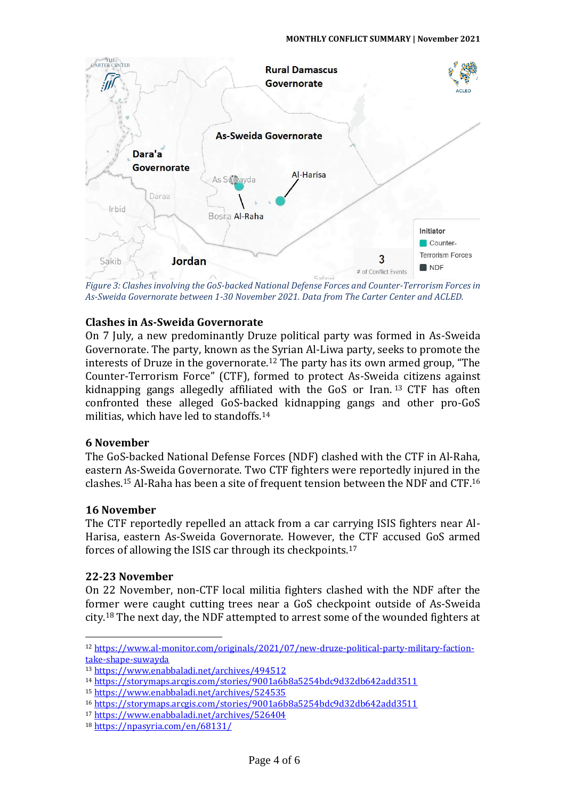

*Figure 3: Clashes involving the GoS-backed National Defense Forces and Counter-Terrorism Forces in As-Sweida Governorate between 1-30 November 2021. Data from The Carter Center and ACLED.* 

# **Clashes in As-Sweida Governorate**

On 7 July, a new predominantly Druze political party was formed in As-Sweida Governorate. The party, known as the Syrian Al-Liwa party, seeks to promote the interests of Druze in the governorate.<sup>12</sup> The party has its own armed group, "The Counter-Terrorism Force" (CTF), formed to protect As-Sweida citizens against kidnapping gangs allegedly affiliated with the GoS or Iran. <sup>13</sup> CTF has often confronted these alleged GoS-backed kidnapping gangs and other pro-GoS militias, which have led to standoffs.<sup>14</sup>

#### **6 November**

The GoS-backed National Defense Forces (NDF) clashed with the CTF in Al-Raha, eastern As-Sweida Governorate. Two CTF fighters were reportedly injured in the clashes.<sup>15</sup> Al-Raha has been a site of frequent tension between the NDF and CTF.<sup>16</sup>

### **16 November**

The CTF reportedly repelled an attack from a car carrying ISIS fighters near Al-Harisa, eastern As-Sweida Governorate. However, the CTF accused GoS armed forces of allowing the ISIS car through its checkpoints.<sup>17</sup>

#### **22-23 November**

On 22 November, non-CTF local militia fighters clashed with the NDF after the former were caught cutting trees near a GoS checkpoint outside of As-Sweida city. <sup>18</sup> The next day, the NDF attempted to arrest some of the wounded fighters at

<sup>12</sup> [https://www.al-monitor.com/originals/2021/07/new-druze-political-party-military-faction](https://www.al-monitor.com/originals/2021/07/new-druze-political-party-military-faction-take-shape-suwayda)[take-shape-suwayda](https://www.al-monitor.com/originals/2021/07/new-druze-political-party-military-faction-take-shape-suwayda)

<sup>13</sup> <https://www.enabbaladi.net/archives/494512>

<sup>14</sup> <https://storymaps.arcgis.com/stories/9001a6b8a5254bdc9d32db642add3511>

<sup>15</sup> <https://www.enabbaladi.net/archives/524535>

<sup>16</sup> <https://storymaps.arcgis.com/stories/9001a6b8a5254bdc9d32db642add3511>

<sup>17</sup> <https://www.enabbaladi.net/archives/526404>

<sup>18</sup> <https://npasyria.com/en/68131/>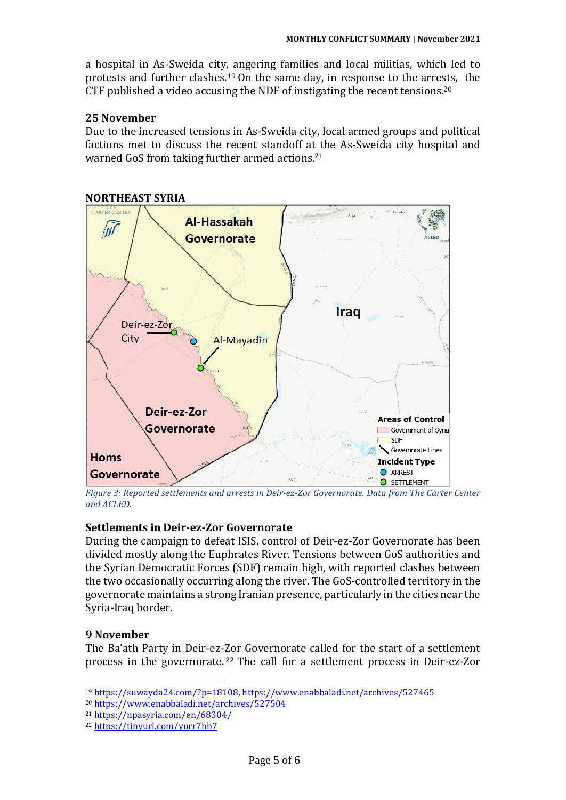a hospital in As-Sweida city, angering families and local militias, which led to protests and further clashes.<sup>19</sup> On the same day, in response to the arrests, the CTF published a video accusing the NDF of instigating the recent tensions.<sup>20</sup>

### **25 November**

Due to the increased tensions in As-Sweida city, local armed groups and political factions met to discuss the recent standoff at the As-Sweida city hospital and warned GoS from taking further armed actions.<sup>21</sup>



*Figure 3: Reported settlements and arrests in Deir-ez-Zor Governorate. Data from The Carter Center and ACLED.* 

### **Settlements in Deir-ez-Zor Governorate**

During the campaign to defeat ISIS, control of Deir-ez-Zor Governorate has been divided mostly along the Euphrates River. Tensions between GoS authorities and the Syrian Democratic Forces (SDF) remain high, with reported clashes between the two occasionally occurring along the river. The GoS-controlled territory in the governorate maintains a strong Iranian presence, particularly in the cities near the Syria-Iraq border.

# **9 November**

The Ba'ath Party in Deir-ez-Zor Governorate called for the start of a settlement process in the governorate. <sup>22</sup> The call for a settlement process in Deir-ez-Zor

<sup>19</sup> [https://suwayda24.com/?p=18108,](https://suwayda24.com/?p=18108)<https://www.enabbaladi.net/archives/527465>

<sup>20</sup> <https://www.enabbaladi.net/archives/527504>

<sup>21</sup> <https://npasyria.com/en/68304/>

<sup>22</sup> <https://tinyurl.com/yurr7hb7>